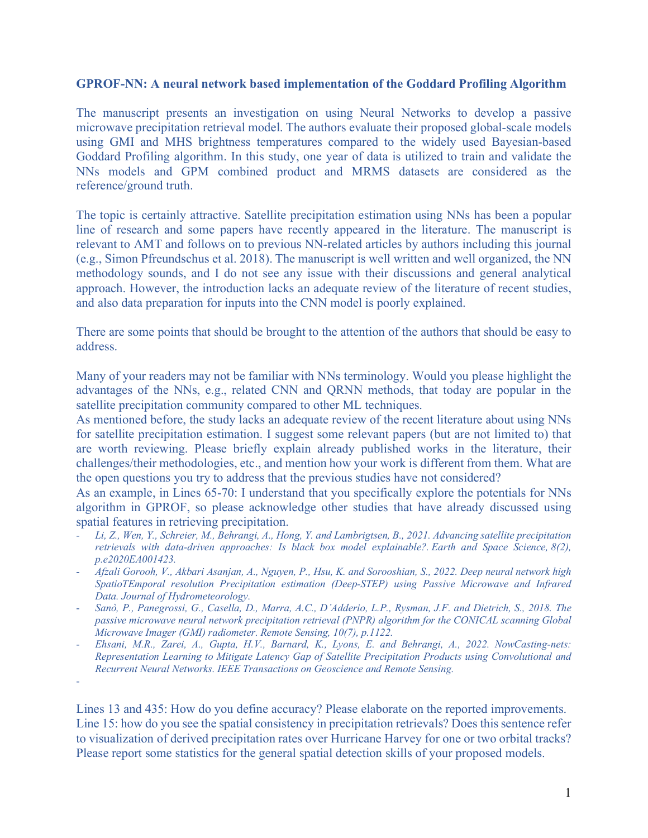## **GPROF-NN: A neural network based implementation of the Goddard Profiling Algorithm**

The manuscript presents an investigation on using Neural Networks to develop a passive microwave precipitation retrieval model. The authors evaluate their proposed global-scale models using GMI and MHS brightness temperatures compared to the widely used Bayesian-based Goddard Profiling algorithm. In this study, one year of data is utilized to train and validate the NNs models and GPM combined product and MRMS datasets are considered as the reference/ground truth.

The topic is certainly attractive. Satellite precipitation estimation using NNs has been a popular line of research and some papers have recently appeared in the literature. The manuscript is relevant to AMT and follows on to previous NN-related articles by authors including this journal (e.g., Simon Pfreundschus et al. 2018). The manuscript is well written and well organized, the NN methodology sounds, and I do not see any issue with their discussions and general analytical approach. However, the introduction lacks an adequate review of the literature of recent studies, and also data preparation for inputs into the CNN model is poorly explained.

There are some points that should be brought to the attention of the authors that should be easy to address.

Many of your readers may not be familiar with NNs terminology. Would you please highlight the advantages of the NNs, e.g., related CNN and QRNN methods, that today are popular in the satellite precipitation community compared to other ML techniques.

As mentioned before, the study lacks an adequate review of the recent literature about using NNs for satellite precipitation estimation. I suggest some relevant papers (but are not limited to) that are worth reviewing. Please briefly explain already published works in the literature, their challenges/their methodologies, etc., and mention how your work is different from them. What are the open questions you try to address that the previous studies have not considered?

As an example, in Lines 65-70: I understand that you specifically explore the potentials for NNs algorithm in GPROF, so please acknowledge other studies that have already discussed using spatial features in retrieving precipitation.

- *Li, Z., Wen, Y., Schreier, M., Behrangi, A., Hong, Y. and Lambrigtsen, B., 2021. Advancing satellite precipitation retrievals with data-driven approaches: Is black box model explainable?. Earth and Space Science, 8(2), p.e2020EA001423.*
- *Afzali Gorooh, V., Akbari Asanjan, A., Nguyen, P., Hsu, K. and Sorooshian, S., 2022. Deep neural network high SpatioTEmporal resolution Precipitation estimation (Deep-STEP) using Passive Microwave and Infrared Data. Journal of Hydrometeorology.*
- *Sanò, P., Panegrossi, G., Casella, D., Marra, A.C., D'Adderio, L.P., Rysman, J.F. and Dietrich, S., 2018. The passive microwave neural network precipitation retrieval (PNPR) algorithm for the CONICAL scanning Global Microwave Imager (GMI) radiometer. Remote Sensing, 10(7), p.1122.*
- *Ehsani, M.R., Zarei, A., Gupta, H.V., Barnard, K., Lyons, E. and Behrangi, A., 2022. NowCasting-nets: Representation Learning to Mitigate Latency Gap of Satellite Precipitation Products using Convolutional and Recurrent Neural Networks. IEEE Transactions on Geoscience and Remote Sensing.*

Lines 13 and 435: How do you define accuracy? Please elaborate on the reported improvements. Line 15: how do you see the spatial consistency in precipitation retrievals? Does this sentence refer to visualization of derived precipitation rates over Hurricane Harvey for one or two orbital tracks? Please report some statistics for the general spatial detection skills of your proposed models.

<sup>-</sup>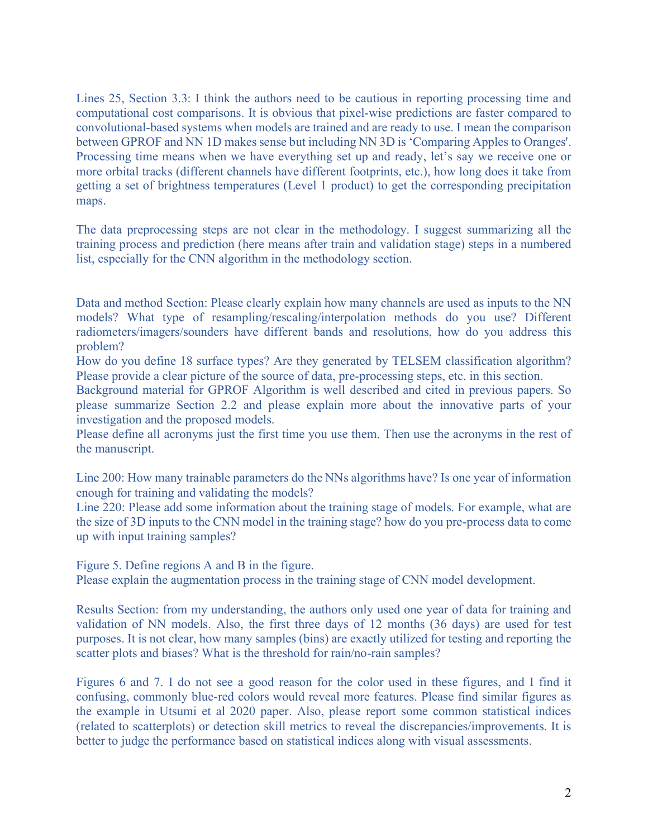Lines 25, Section 3.3: I think the authors need to be cautious in reporting processing time and computational cost comparisons. It is obvious that pixel-wise predictions are faster compared to convolutional-based systems when models are trained and are ready to use. I mean the comparison between GPROF and NN 1D makes sense but including NN 3D is 'Comparing Apples to Oranges'. Processing time means when we have everything set up and ready, let's say we receive one or more orbital tracks (different channels have different footprints, etc.), how long does it take from getting a set of brightness temperatures (Level 1 product) to get the corresponding precipitation maps.

The data preprocessing steps are not clear in the methodology. I suggest summarizing all the training process and prediction (here means after train and validation stage) steps in a numbered list, especially for the CNN algorithm in the methodology section.

Data and method Section: Please clearly explain how many channels are used as inputs to the NN models? What type of resampling/rescaling/interpolation methods do you use? Different radiometers/imagers/sounders have different bands and resolutions, how do you address this problem?

How do you define 18 surface types? Are they generated by TELSEM classification algorithm? Please provide a clear picture of the source of data, pre-processing steps, etc. in this section.

Background material for GPROF Algorithm is well described and cited in previous papers. So please summarize Section 2.2 and please explain more about the innovative parts of your investigation and the proposed models.

Please define all acronyms just the first time you use them. Then use the acronyms in the rest of the manuscript.

Line 200: How many trainable parameters do the NNs algorithms have? Is one year of information enough for training and validating the models?

Line 220: Please add some information about the training stage of models. For example, what are the size of 3D inputs to the CNN model in the training stage? how do you pre-process data to come up with input training samples?

Figure 5. Define regions A and B in the figure.

Please explain the augmentation process in the training stage of CNN model development.

Results Section: from my understanding, the authors only used one year of data for training and validation of NN models. Also, the first three days of 12 months (36 days) are used for test purposes. It is not clear, how many samples (bins) are exactly utilized for testing and reporting the scatter plots and biases? What is the threshold for rain/no-rain samples?

Figures 6 and 7. I do not see a good reason for the color used in these figures, and I find it confusing, commonly blue-red colors would reveal more features. Please find similar figures as the example in Utsumi et al 2020 paper. Also, please report some common statistical indices (related to scatterplots) or detection skill metrics to reveal the discrepancies/improvements. It is better to judge the performance based on statistical indices along with visual assessments.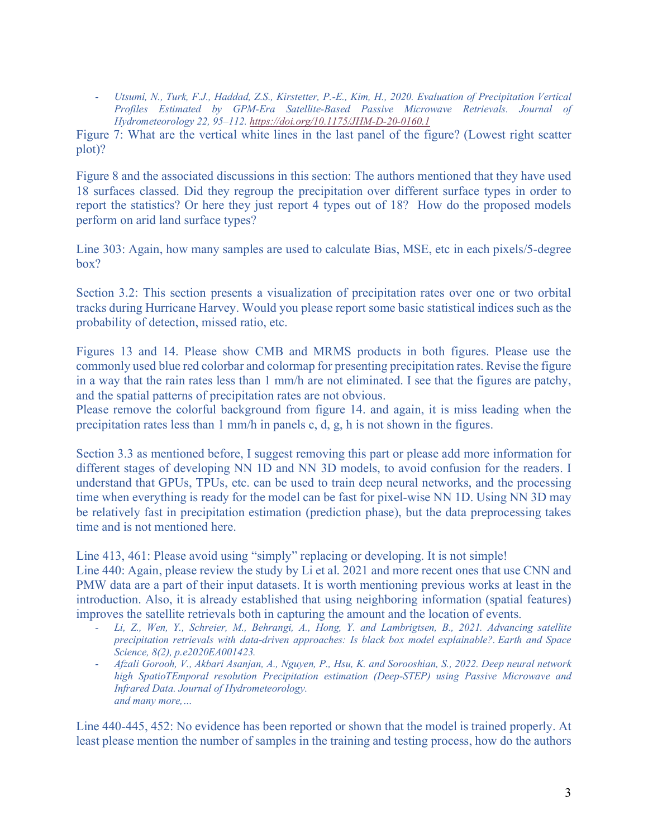- *Utsumi, N., Turk, F.J., Haddad, Z.S., Kirstetter, P.-E., Kim, H., 2020. Evaluation of Precipitation Vertical Profiles Estimated by GPM-Era Satellite-Based Passive Microwave Retrievals. Journal of Hydrometeorology 22, 95–112. https://doi.org/10.1175/JHM-D-20-0160.1*

Figure 7: What are the vertical white lines in the last panel of the figure? (Lowest right scatter plot)?

Figure 8 and the associated discussions in this section: The authors mentioned that they have used 18 surfaces classed. Did they regroup the precipitation over different surface types in order to report the statistics? Or here they just report 4 types out of 18? How do the proposed models perform on arid land surface types?

Line 303: Again, how many samples are used to calculate Bias, MSE, etc in each pixels/5-degree box?

Section 3.2: This section presents a visualization of precipitation rates over one or two orbital tracks during Hurricane Harvey. Would you please report some basic statistical indices such as the probability of detection, missed ratio, etc.

Figures 13 and 14. Please show CMB and MRMS products in both figures. Please use the commonly used blue red colorbar and colormap for presenting precipitation rates. Revise the figure in a way that the rain rates less than 1 mm/h are not eliminated. I see that the figures are patchy, and the spatial patterns of precipitation rates are not obvious.

Please remove the colorful background from figure 14. and again, it is miss leading when the precipitation rates less than 1 mm/h in panels c, d, g, h is not shown in the figures.

Section 3.3 as mentioned before, I suggest removing this part or please add more information for different stages of developing NN 1D and NN 3D models, to avoid confusion for the readers. I understand that GPUs, TPUs, etc. can be used to train deep neural networks, and the processing time when everything is ready for the model can be fast for pixel-wise NN 1D. Using NN 3D may be relatively fast in precipitation estimation (prediction phase), but the data preprocessing takes time and is not mentioned here.

Line 413, 461: Please avoid using "simply" replacing or developing. It is not simple!

Line 440: Again, please review the study by Li et al. 2021 and more recent ones that use CNN and PMW data are a part of their input datasets. It is worth mentioning previous works at least in the introduction. Also, it is already established that using neighboring information (spatial features) improves the satellite retrievals both in capturing the amount and the location of events. - *Li, Z., Wen, Y., Schreier, M., Behrangi, A., Hong, Y. and Lambrigtsen, B., 2021. Advancing satellite* 

- *precipitation retrievals with data-driven approaches: Is black box model explainable?. Earth and Space Science, 8(2), p.e2020EA001423.*
- *Afzali Gorooh, V., Akbari Asanjan, A., Nguyen, P., Hsu, K. and Sorooshian, S., 2022. Deep neural network high SpatioTEmporal resolution Precipitation estimation (Deep-STEP) using Passive Microwave and Infrared Data. Journal of Hydrometeorology. and many more,…*

Line 440-445, 452: No evidence has been reported or shown that the model is trained properly. At least please mention the number of samples in the training and testing process, how do the authors